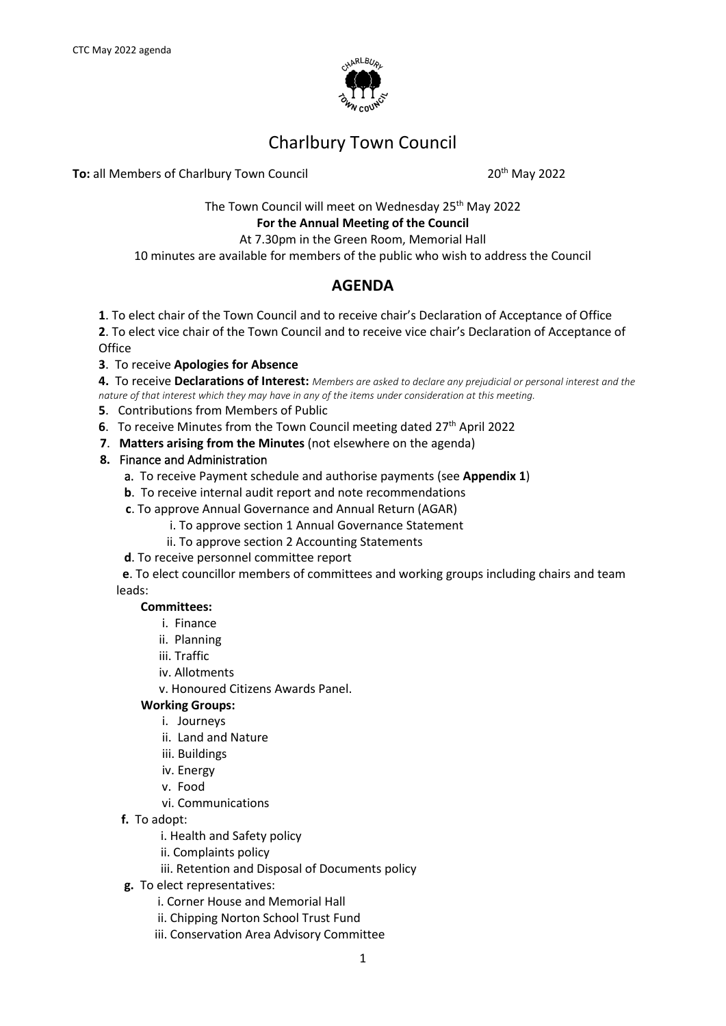

# Charlbury Town Council

**To:** all Members of Charlbury Town Council 20<sup>th</sup> May 2022

The Town Council will meet on Wednesday 25<sup>th</sup> May 2022

**For the Annual Meeting of the Council**

At 7.30pm in the Green Room, Memorial Hall

10 minutes are available for members of the public who wish to address the Council

# **AGENDA**

- **1**. To elect chair of the Town Council and to receive chair's Declaration of Acceptance of Office
- **2**. To elect vice chair of the Town Council and to receive vice chair's Declaration of Acceptance of **Office**
- **3**. To receive **Apologies for Absence**

**4.** To receive **Declarations of Interest:** *Members are asked to declare any prejudicial or personal interest and the nature of that interest which they may have in any of the items under consideration at this meeting.*

- **5**. Contributions from Members of Public
- **6**. To receive Minutes from the Town Council meeting dated 27<sup>th</sup> April 2022
- **7**. **Matters arising from the Minutes** (not elsewhere on the agenda)
- **8.** Finance and Administration
	- a. To receive Payment schedule and authorise payments (see **Appendix 1**)
	- **b**. To receive internal audit report and note recommendations
	- **c**. To approve Annual Governance and Annual Return (AGAR)
		- i. To approve section 1 Annual Governance Statement
		- ii. To approve section 2 Accounting Statements
	- **d**. To receive personnel committee report

**e**. To elect councillor members of committees and working groups including chairs and team leads:

#### **Committees:**

- i. Finance
- ii. Planning
- iii. Traffic
- iv. Allotments
- v. Honoured Citizens Awards Panel.

### **Working Groups:**

- i. Journeys
- ii. Land and Nature
- iii. Buildings
- iv. Energy
- v. Food
- vi. Communications
- **f.** To adopt:
	- i. Health and Safety policy
	- ii. Complaints policy
	- iii. Retention and Disposal of Documents policy
- **g.** To elect representatives:
	- i. Corner House and Memorial Hall
	- ii. Chipping Norton School Trust Fund
	- iii. Conservation Area Advisory Committee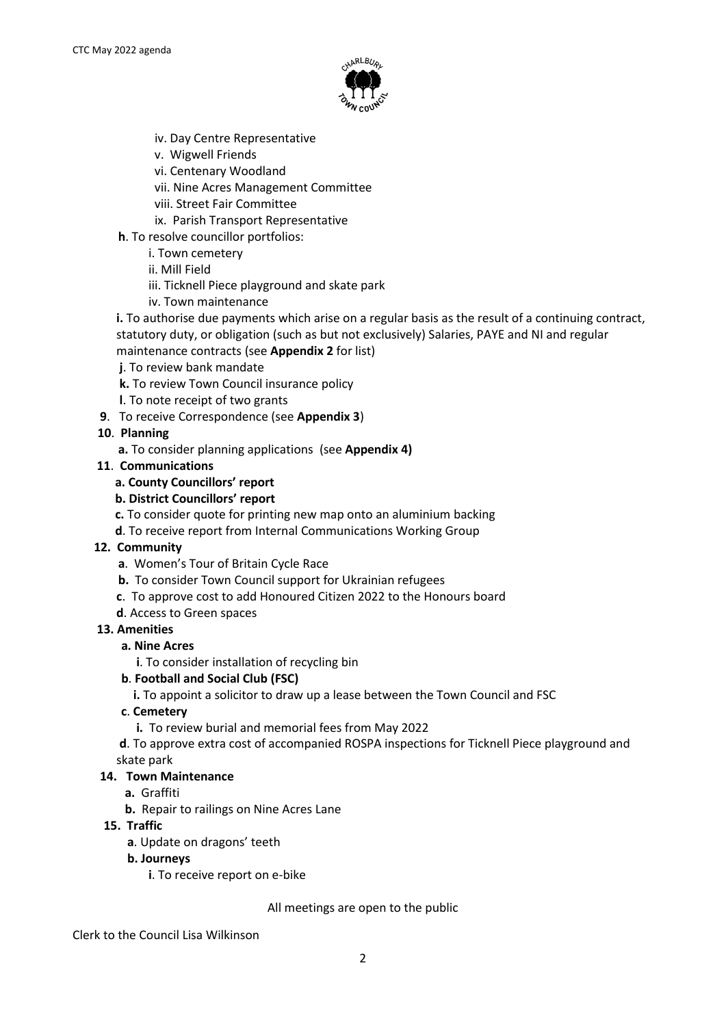

- iv. Day Centre Representative
- v. Wigwell Friends
- vi. Centenary Woodland
- vii. Nine Acres Management Committee
- viii. Street Fair Committee
- ix. Parish Transport Representative
- **h**. To resolve councillor portfolios:
	- i. Town cemetery
	- ii. Mill Field
	- iii. Ticknell Piece playground and skate park
	- iv. Town maintenance
- **i.** To authorise due payments which arise on a regular basis as the result of a continuing contract, statutory duty, or obligation (such as but not exclusively) Salaries, PAYE and NI and regular maintenance contracts (see **Appendix 2** for list)
- **j**. To review bank mandate
- **k.** To review Town Council insurance policy
- **l**. To note receipt of two grants
- **9**. To receive Correspondence (see **Appendix 3**)

### **10**. **Planning**

- **a.** To consider planning applications (see **Appendix 4)**
- **11**. **Communications**

### **a. County Councillors' report**

- **b. District Councillors' report**
- **c.** To consider quote for printing new map onto an aluminium backing
- **d**. To receive report from Internal Communications Working Group

### **12. Community**

- **a**. Women's Tour of Britain Cycle Race
- **b.** To consider Town Council support for Ukrainian refugees
- **c**. To approve cost to add Honoured Citizen 2022 to the Honours board
- **d**. Access to Green spaces

### **13. Amenities**

- **a. Nine Acres** 
	- **i**. To consider installation of recycling bin
- **b**. **Football and Social Club (FSC)**
	- **i.** To appoint a solicitor to draw up a lease between the Town Council and FSC
- **c**. **Cemetery**
	- **i.** To review burial and memorial fees from May 2022

**d**. To approve extra cost of accompanied ROSPA inspections for Ticknell Piece playground and skate park

### **14. Town Maintenance**

- **a.** Graffiti
- **b.** Repair to railings on Nine Acres Lane
- **15. Traffic**
	- **a**. Update on dragons' teeth
	- **b. Journeys**
		- **i**. To receive report on e-bike

All meetings are open to the public

Clerk to the Council Lisa Wilkinson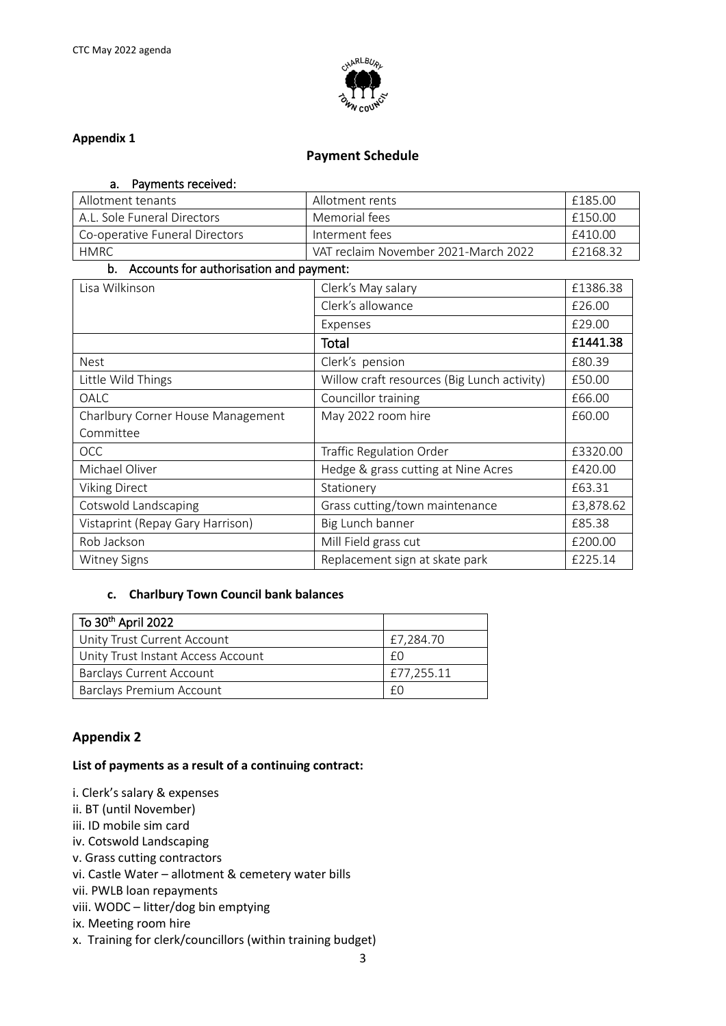

### **Appendix 1**

### **Payment Schedule**

| Payments received:<br>а. |
|--------------------------|
|--------------------------|

| Allotment tenants                          | Allotment rents                             | £185.00   |
|--------------------------------------------|---------------------------------------------|-----------|
| A.L. Sole Funeral Directors                | Memorial fees                               | £150.00   |
| Co-operative Funeral Directors             | Interment fees                              | £410.00   |
| <b>HMRC</b>                                | VAT reclaim November 2021-March 2022        | £2168.32  |
| b. Accounts for authorisation and payment: |                                             |           |
| Lisa Wilkinson                             | Clerk's May salary                          | £1386.38  |
|                                            | Clerk's allowance                           | £26.00    |
|                                            | Expenses                                    | £29.00    |
|                                            | Total                                       | £1441.38  |
| <b>Nest</b>                                | Clerk's pension                             | £80.39    |
| Little Wild Things                         | Willow craft resources (Big Lunch activity) | £50.00    |
| OALC                                       | Councillor training                         | £66.00    |
| Charlbury Corner House Management          | May 2022 room hire                          | £60.00    |
| Committee                                  |                                             |           |
| <b>OCC</b>                                 | Traffic Regulation Order                    | £3320.00  |
| Michael Oliver                             | Hedge & grass cutting at Nine Acres         | £420.00   |
| <b>Viking Direct</b>                       | Stationery                                  | £63.31    |
| Cotswold Landscaping                       | Grass cutting/town maintenance              | £3,878.62 |
| Vistaprint (Repay Gary Harrison)           | Big Lunch banner                            | £85.38    |
| Rob Jackson                                | Mill Field grass cut                        | £200.00   |
| <b>Witney Signs</b>                        | Replacement sign at skate park              | £225.14   |

### **c. Charlbury Town Council bank balances**

| To 30 <sup>th</sup> April 2022     |            |
|------------------------------------|------------|
| Unity Trust Current Account        | £7,284.70  |
| Unity Trust Instant Access Account | fΩ         |
| <b>Barclays Current Account</b>    | £77,255.11 |
| Barclays Premium Account           | fΩ         |

### **Appendix 2**

### **List of payments as a result of a continuing contract:**

i. Clerk's salary & expenses ii. BT (until November) iii. ID mobile sim card iv. Cotswold Landscaping v. Grass cutting contractors vi. Castle Water – allotment & cemetery water bills vii. PWLB loan repayments viii. WODC – litter/dog bin emptying ix. Meeting room hire x. Training for clerk/councillors (within training budget)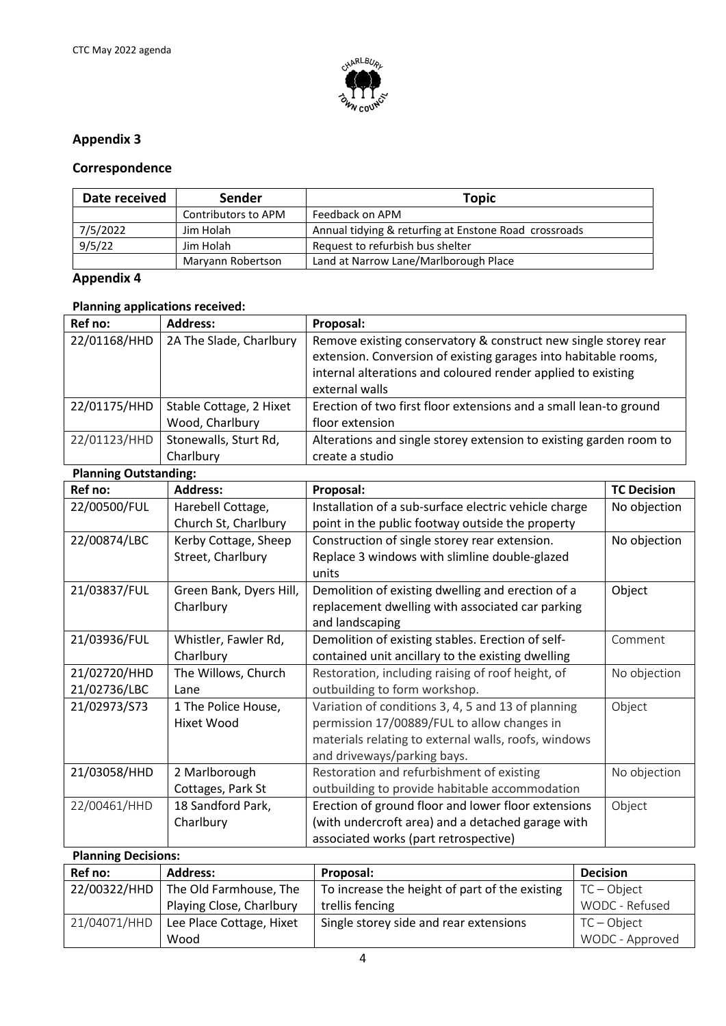

# **Appendix 3**

### **Correspondence**

| Date received | Sender              | Topic                                                 |
|---------------|---------------------|-------------------------------------------------------|
|               | Contributors to APM | Feedback on APM                                       |
| 7/5/2022      | Jim Holah           | Annual tidying & returfing at Enstone Road crossroads |
| 9/5/22        | Jim Holah           | Request to refurbish bus shelter                      |
|               | Maryann Robertson   | Land at Narrow Lane/Marlborough Place                 |

# **Appendix 4**

## **Planning applications received:**

| Ref no:      | <b>Address:</b>         | Proposal:                                                          |
|--------------|-------------------------|--------------------------------------------------------------------|
| 22/01168/HHD | 2A The Slade, Charlbury | Remove existing conservatory & construct new single storey rear    |
|              |                         | extension. Conversion of existing garages into habitable rooms,    |
|              |                         | internal alterations and coloured render applied to existing       |
|              |                         | external walls                                                     |
| 22/01175/HHD | Stable Cottage, 2 Hixet | Erection of two first floor extensions and a small lean-to ground  |
|              | Wood, Charlbury         | floor extension                                                    |
| 22/01123/HHD | Stonewalls, Sturt Rd,   | Alterations and single storey extension to existing garden room to |
|              | Charlbury               | create a studio                                                    |

### **Planning Outstanding:**

| Ref no:                    | <b>Address:</b>         | Proposal:                                             | <b>TC Decision</b> |
|----------------------------|-------------------------|-------------------------------------------------------|--------------------|
| 22/00500/FUL               | Harebell Cottage,       | Installation of a sub-surface electric vehicle charge | No objection       |
|                            | Church St, Charlbury    | point in the public footway outside the property      |                    |
| 22/00874/LBC               | Kerby Cottage, Sheep    | Construction of single storey rear extension.         | No objection       |
|                            | Street, Charlbury       | Replace 3 windows with slimline double-glazed         |                    |
|                            |                         | units                                                 |                    |
| 21/03837/FUL               | Green Bank, Dyers Hill, | Demolition of existing dwelling and erection of a     | Object             |
|                            | Charlbury               | replacement dwelling with associated car parking      |                    |
|                            |                         | and landscaping                                       |                    |
| 21/03936/FUL               | Whistler, Fawler Rd,    | Demolition of existing stables. Erection of self-     | Comment            |
|                            | Charlbury               | contained unit ancillary to the existing dwelling     |                    |
| 21/02720/HHD               | The Willows, Church     | Restoration, including raising of roof height, of     | No objection       |
| 21/02736/LBC               | Lane                    | outbuilding to form workshop.                         |                    |
| 21/02973/S73               | 1 The Police House,     | Variation of conditions 3, 4, 5 and 13 of planning    | Object             |
|                            | Hixet Wood              | permission 17/00889/FUL to allow changes in           |                    |
|                            |                         | materials relating to external walls, roofs, windows  |                    |
|                            |                         | and driveways/parking bays.                           |                    |
| 21/03058/HHD               | 2 Marlborough           | Restoration and refurbishment of existing             | No objection       |
|                            | Cottages, Park St       | outbuilding to provide habitable accommodation        |                    |
| 22/00461/HHD               | 18 Sandford Park,       | Erection of ground floor and lower floor extensions   | Object             |
|                            | Charlbury               | (with undercroft area) and a detached garage with     |                    |
|                            |                         | associated works (part retrospective)                 |                    |
| <b>Planning Decisions:</b> |                         |                                                       |                    |

| Ref no:      | <b>Address:</b>          | Proposal:                                      | <b>Decision</b> |
|--------------|--------------------------|------------------------------------------------|-----------------|
| 22/00322/HHD | The Old Farmhouse, The   | To increase the height of part of the existing | $TC - Object$   |
|              | Playing Close, Charlbury | trellis fencing                                | WODC - Refused  |
| 21/04071/HHD | Lee Place Cottage, Hixet | Single storey side and rear extensions         | $TC - Object$   |
|              | Wood                     |                                                | WODC - Approved |